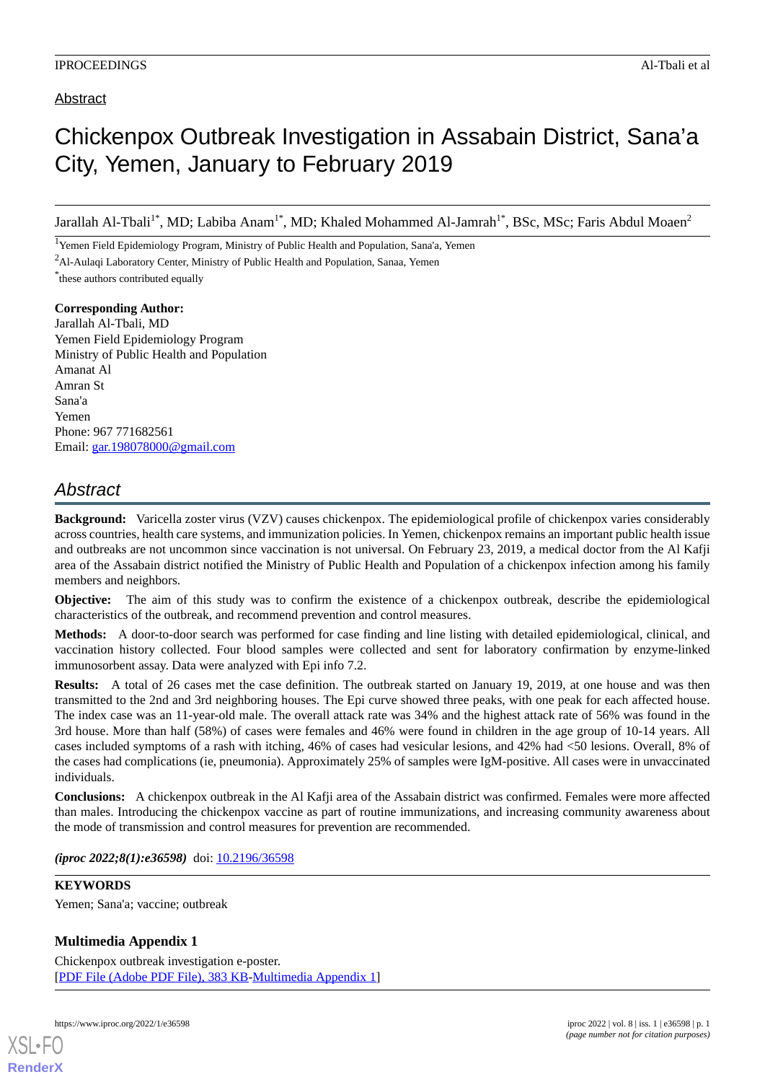# Chickenpox Outbreak Investigation in Assabain District, Sana'a City, Yemen, January to February 2019

Jarallah Al-Tbali<sup>1\*</sup>, MD; Labiba Anam<sup>1\*</sup>, MD; Khaled Mohammed Al-Jamrah<sup>1\*</sup>, BSc, MSc; Faris Abdul Moaen<sup>2</sup>

<sup>1</sup>Yemen Field Epidemiology Program, Ministry of Public Health and Population, Sana'a, Yemen

<sup>2</sup>Al-Aulaqi Laboratory Center, Ministry of Public Health and Population, Sanaa, Yemen

\* these authors contributed equally

**Corresponding Author:** Jarallah Al-Tbali, MD Yemen Field Epidemiology Program Ministry of Public Health and Population Amanat Al Amran St Sana'a Yemen Phone: 967 771682561 Email: [gar.198078000@gmail.com](mailto:gar.198078000@gmail.com)

## *Abstract*

**Background:** Varicella zoster virus (VZV) causes chickenpox. The epidemiological profile of chickenpox varies considerably across countries, health care systems, and immunization policies. In Yemen, chickenpox remains an important public health issue and outbreaks are not uncommon since vaccination is not universal. On February 23, 2019, a medical doctor from the Al Kafji area of the Assabain district notified the Ministry of Public Health and Population of a chickenpox infection among his family members and neighbors.

**Objective:** The aim of this study was to confirm the existence of a chickenpox outbreak, describe the epidemiological characteristics of the outbreak, and recommend prevention and control measures.

**Methods:** A door-to-door search was performed for case finding and line listing with detailed epidemiological, clinical, and vaccination history collected. Four blood samples were collected and sent for laboratory confirmation by enzyme-linked immunosorbent assay. Data were analyzed with Epi info 7.2.

**Results:** A total of 26 cases met the case definition. The outbreak started on January 19, 2019, at one house and was then transmitted to the 2nd and 3rd neighboring houses. The Epi curve showed three peaks, with one peak for each affected house. The index case was an 11-year-old male. The overall attack rate was 34% and the highest attack rate of 56% was found in the 3rd house. More than half (58%) of cases were females and 46% were found in children in the age group of 10-14 years. All cases included symptoms of a rash with itching, 46% of cases had vesicular lesions, and 42% had <50 lesions. Overall, 8% of the cases had complications (ie, pneumonia). Approximately 25% of samples were IgM-positive. All cases were in unvaccinated individuals.

**Conclusions:** A chickenpox outbreak in the Al Kafji area of the Assabain district was confirmed. Females were more affected than males. Introducing the chickenpox vaccine as part of routine immunizations, and increasing community awareness about the mode of transmission and control measures for prevention are recommended.

*(iproc 2022;8(1):e36598)* doi: [10.2196/36598](http://dx.doi.org/10.2196/36598)

### **KEYWORDS**

Yemen; Sana'a; vaccine; outbreak

### **Multimedia Appendix 1**

Chickenpox outbreak investigation e-poster. [[PDF File \(Adobe PDF File\), 383 KB](https://jmir.org/api/download?alt_name=iproc_v8i1e36598_app1.pdf&filename=2f6082bc9020b4a367da1a9d67ac99d2.pdf)-[Multimedia Appendix 1\]](https://jmir.org/api/download?alt_name=iproc_v8i1e36598_app1.pdf&filename=2f6082bc9020b4a367da1a9d67ac99d2.pdf)

[XSL](http://www.w3.org/Style/XSL)•FO **[RenderX](http://www.renderx.com/)**